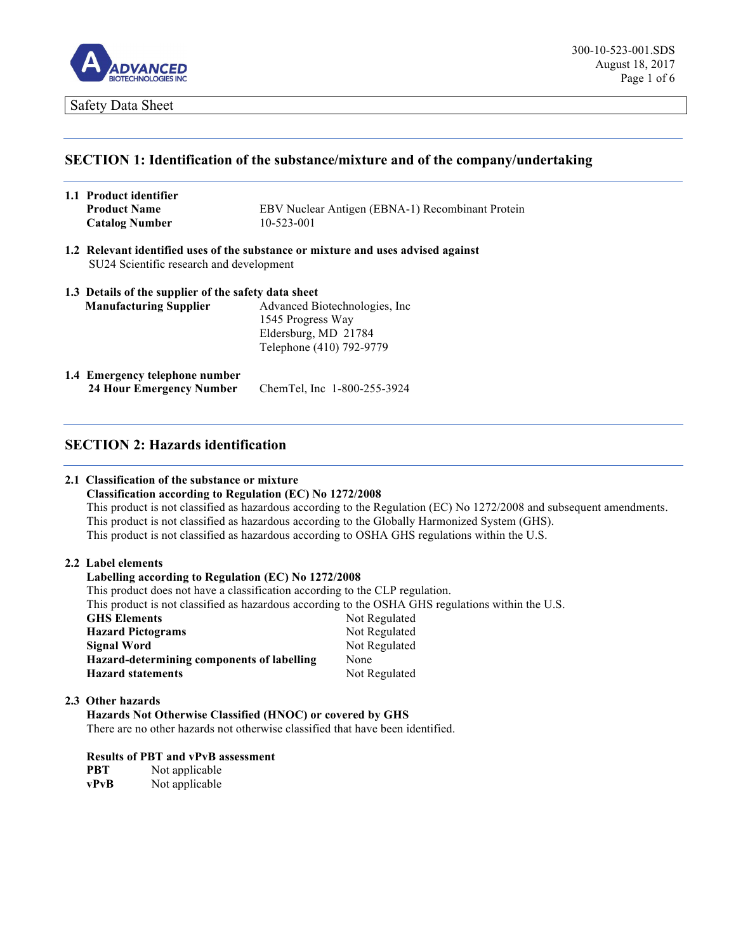

## **SECTION 1: Identification of the substance/mixture and of the company/undertaking**

| 1.1 Product identifier |                                                  |
|------------------------|--------------------------------------------------|
| <b>Product Name</b>    | EBV Nuclear Antigen (EBNA-1) Recombinant Protein |
| <b>Catalog Number</b>  | 10-523-001                                       |

**1.2 Relevant identified uses of the substance or mixture and uses advised against** SU24 Scientific research and development

|                               | 1.3 Details of the supplier of the safety data sheet |  |  |
|-------------------------------|------------------------------------------------------|--|--|
| <b>Manufacturing Supplier</b> | Advanced Biotechnologies, Inc.                       |  |  |
|                               | 1545 Progress Way                                    |  |  |
|                               | Eldersburg, MD 21784                                 |  |  |
|                               | Telephone (410) 792-9779                             |  |  |

**1.4 Emergency telephone number 24 Hour Emergency Number** ChemTel, Inc 1-800-255-3924

### **SECTION 2: Hazards identification**

#### **2.1 Classification of the substance or mixture**

**Classification according to Regulation (EC) No 1272/2008** This product is not classified as hazardous according to the Regulation (EC) No 1272/2008 and subsequent amendments. This product is not classified as hazardous according to the Globally Harmonized System (GHS). This product is not classified as hazardous according to OSHA GHS regulations within the U.S.

#### **2.2 Label elements**

#### **Labelling according to Regulation (EC) No 1272/2008**

This product does not have a classification according to the CLP regulation. This product is not classified as hazardous according to the OSHA GHS regulations within the U.S. GHS Elements Not Regulated **Hazard Pictograms** Not Regulated **Signal Word**  Not Regulated **Hazard-determining components of labelling** None **Hazard statements** Not Regulated

#### **2.3 Other hazards**

**Hazards Not Otherwise Classified (HNOC) or covered by GHS** There are no other hazards not otherwise classified that have been identified.

#### **Results of PBT and vPvB assessment**

**PBT** Not applicable **vPvB** Not applicable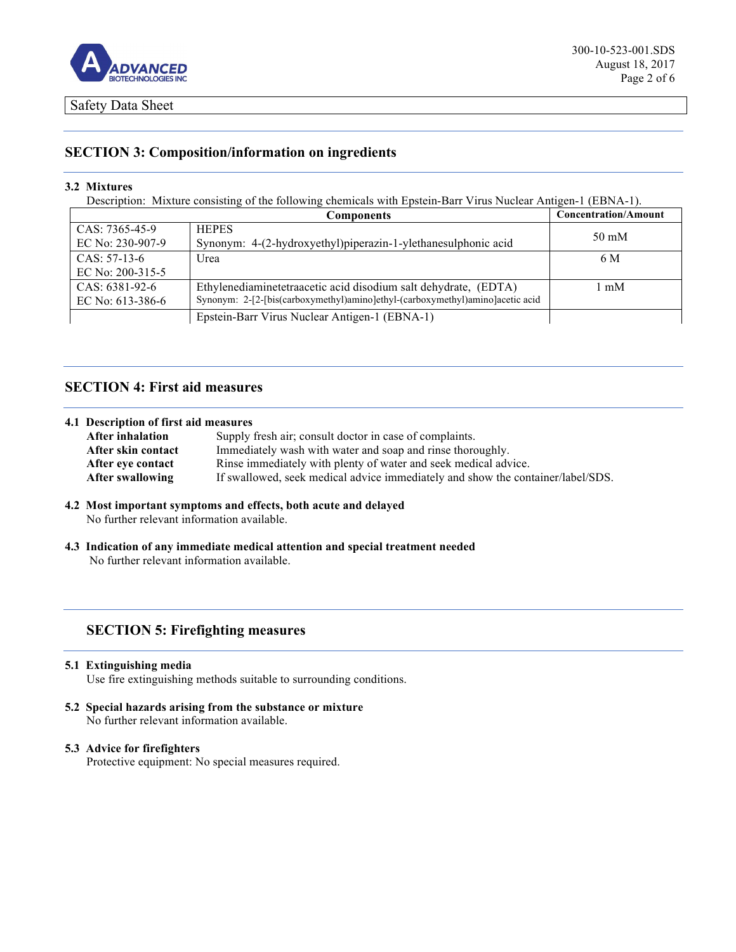

# **SECTION 3: Composition/information on ingredients**

#### **3.2 Mixtures**

Description: Mixture consisting of the following chemicals with Epstein-Barr Virus Nuclear Antigen-1 (EBNA-1).

|                                      | Components                                                                    | <b>Concentration/Amount</b> |
|--------------------------------------|-------------------------------------------------------------------------------|-----------------------------|
| $CAS: 7365-45-9$<br>EC No: 230-907-9 | <b>HEPES</b>                                                                  | $50 \text{ mM}$             |
|                                      | Synonym: 4-(2-hydroxyethyl)piperazin-1-ylethanesulphonic acid                 |                             |
| $CAS: 57-13-6$                       | Urea                                                                          | 6 M                         |
| EC No: 200-315-5                     |                                                                               |                             |
| $CAS: 6381-92-6$                     | Ethylenediaminetetraacetic acid disodium salt dehydrate, (EDTA)               | l mM                        |
| EC No: $613-386-6$                   | Synonym: 2-[2-[bis(carboxymethyl)amino]ethyl-(carboxymethyl)amino]acetic acid |                             |
|                                      | Epstein-Barr Virus Nuclear Antigen-1 (EBNA-1)                                 |                             |

# **SECTION 4: First aid measures**

#### **4.1 Description of first aid measures**

| Supply fresh air; consult doctor in case of complaints.                         |
|---------------------------------------------------------------------------------|
| Immediately wash with water and soap and rinse thoroughly.                      |
| Rinse immediately with plenty of water and seek medical advice.                 |
| If swallowed, seek medical advice immediately and show the container/label/SDS. |
|                                                                                 |

#### **4.2 Most important symptoms and effects, both acute and delayed** No further relevant information available.

**4.3 Indication of any immediate medical attention and special treatment needed** No further relevant information available.

# **SECTION 5: Firefighting measures**

#### **5.1 Extinguishing media**

Use fire extinguishing methods suitable to surrounding conditions.

# **5.2 Special hazards arising from the substance or mixture**

No further relevant information available.

### **5.3 Advice for firefighters**

Protective equipment: No special measures required.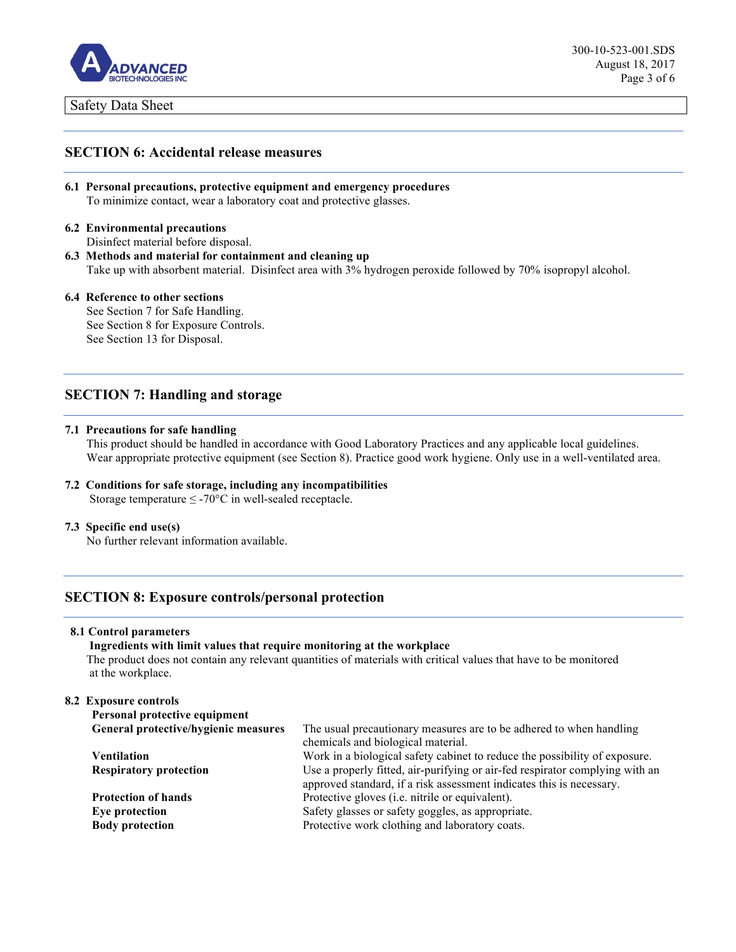

### **SECTION 6: Accidental release measures**

```
6.1 Personal precautions, protective equipment and emergency procedures
To minimize contact, wear a laboratory coat and protective glasses.
```
### **6.2 Environmental precautions**

Disinfect material before disposal.

**6.3 Methods and material for containment and cleaning up** Take up with absorbent material. Disinfect area with 3% hydrogen peroxide followed by 70% isopropyl alcohol.

#### **6.4 Reference to other sections**

See Section 7 for Safe Handling. See Section 8 for Exposure Controls. See Section 13 for Disposal.

### **SECTION 7: Handling and storage**

#### **7.1 Precautions for safe handling**

This product should be handled in accordance with Good Laboratory Practices and any applicable local guidelines. Wear appropriate protective equipment (see Section 8). Practice good work hygiene. Only use in a well-ventilated area.

# **7.2 Conditions for safe storage, including any incompatibilities**

Storage temperature  $\leq$  -70°C in well-sealed receptacle.

#### **7.3 Specific end use(s)**

No further relevant information available.

# **SECTION 8: Exposure controls/personal protection**

#### **8.1 Control parameters**

**Ingredients with limit values that require monitoring at the workplace**  The product does not contain any relevant quantities of materials with critical values that have to be monitored at the workplace.

#### **8.2 Exposure controls**

| Personal protective equipment        |                                                                                                                                                      |  |
|--------------------------------------|------------------------------------------------------------------------------------------------------------------------------------------------------|--|
| General protective/hygienic measures | The usual precautionary measures are to be adhered to when handling                                                                                  |  |
|                                      | chemicals and biological material.                                                                                                                   |  |
| Ventilation                          | Work in a biological safety cabinet to reduce the possibility of exposure.                                                                           |  |
| <b>Respiratory protection</b>        | Use a properly fitted, air-purifying or air-fed respirator complying with an<br>approved standard, if a risk assessment indicates this is necessary. |  |
| <b>Protection of hands</b>           | Protective gloves (i.e. nitrile or equivalent).                                                                                                      |  |
| Eye protection                       | Safety glasses or safety goggles, as appropriate.                                                                                                    |  |
| <b>Body protection</b>               | Protective work clothing and laboratory coats.                                                                                                       |  |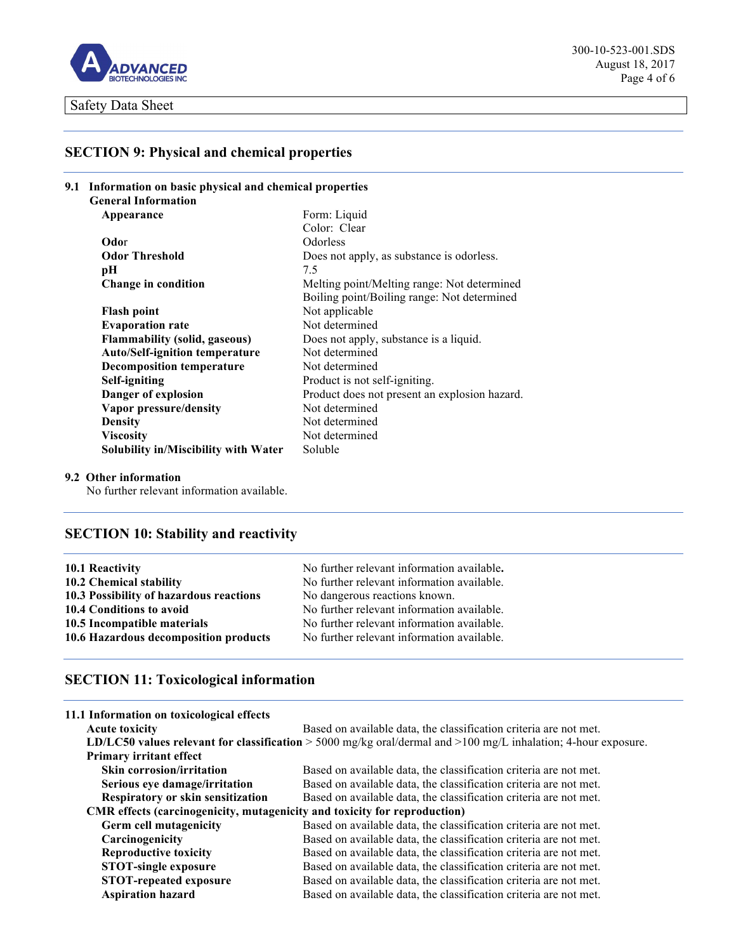

300-10-523-001.SDS August 18, 2017 Page 4 of 6

# **SECTION 9: Physical and chemical properties**

| 9.1 Information on basic physical and chemical properties |                                               |
|-----------------------------------------------------------|-----------------------------------------------|
| <b>General Information</b>                                |                                               |
| Appearance                                                | Form: Liquid                                  |
|                                                           | Color: Clear                                  |
| Odor                                                      | Odorless                                      |
| <b>Odor Threshold</b>                                     | Does not apply, as substance is odorless.     |
| pН                                                        | 7.5                                           |
| Change in condition                                       | Melting point/Melting range: Not determined   |
|                                                           | Boiling point/Boiling range: Not determined   |
| <b>Flash point</b>                                        | Not applicable                                |
| <b>Evaporation rate</b>                                   | Not determined                                |
| <b>Flammability (solid, gaseous)</b>                      | Does not apply, substance is a liquid.        |
| <b>Auto/Self-ignition temperature</b>                     | Not determined                                |
| <b>Decomposition temperature</b>                          | Not determined                                |
| <b>Self-igniting</b>                                      | Product is not self-igniting.                 |
| Danger of explosion                                       | Product does not present an explosion hazard. |
| Vapor pressure/density                                    | Not determined                                |
| <b>Density</b>                                            | Not determined                                |
| <b>Viscosity</b>                                          | Not determined                                |
| Solubility in/Miscibility with Water                      | Soluble                                       |

### **9.2 Other information**

No further relevant information available.

# **SECTION 10: Stability and reactivity**

| 10.1 Reactivity                         | No further relevant information available. |
|-----------------------------------------|--------------------------------------------|
| 10.2 Chemical stability                 | No further relevant information available. |
| 10.3 Possibility of hazardous reactions | No dangerous reactions known.              |
| 10.4 Conditions to avoid                | No further relevant information available. |
| 10.5 Incompatible materials             | No further relevant information available. |
| 10.6 Hazardous decomposition products   | No further relevant information available. |

# **SECTION 11: Toxicological information**

| 11.1 Information on toxicological effects                                 |                                                                                                                     |
|---------------------------------------------------------------------------|---------------------------------------------------------------------------------------------------------------------|
| <b>Acute toxicity</b>                                                     | Based on available data, the classification criteria are not met.                                                   |
|                                                                           | LD/LC50 values relevant for classification $>$ 5000 mg/kg oral/dermal and $>$ 100 mg/L inhalation; 4-hour exposure. |
| Primary irritant effect                                                   |                                                                                                                     |
| <b>Skin corrosion/irritation</b>                                          | Based on available data, the classification criteria are not met.                                                   |
| Serious eye damage/irritation                                             | Based on available data, the classification criteria are not met.                                                   |
| <b>Respiratory or skin sensitization</b>                                  | Based on available data, the classification criteria are not met.                                                   |
| CMR effects (carcinogenicity, mutagenicity and toxicity for reproduction) |                                                                                                                     |
| <b>Germ cell mutagenicity</b>                                             | Based on available data, the classification criteria are not met.                                                   |
| Carcinogenicity                                                           | Based on available data, the classification criteria are not met.                                                   |
| <b>Reproductive toxicity</b>                                              | Based on available data, the classification criteria are not met.                                                   |
| <b>STOT-single exposure</b>                                               | Based on available data, the classification criteria are not met.                                                   |
| <b>STOT-repeated exposure</b>                                             | Based on available data, the classification criteria are not met.                                                   |
| <b>Aspiration hazard</b>                                                  | Based on available data, the classification criteria are not met.                                                   |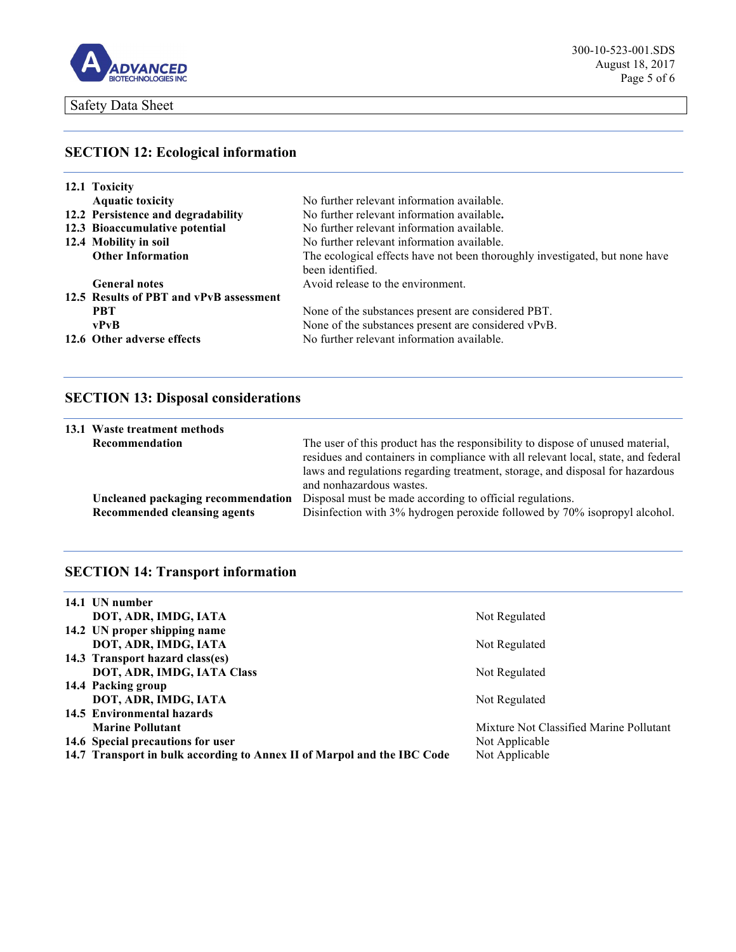

# **SECTION 12: Ecological information**

| 12.1 Toxicity                           |                                                                                                 |
|-----------------------------------------|-------------------------------------------------------------------------------------------------|
| <b>Aquatic toxicity</b>                 | No further relevant information available.                                                      |
| 12.2 Persistence and degradability      | No further relevant information available.                                                      |
| 12.3 Bioaccumulative potential          | No further relevant information available.                                                      |
| 12.4 Mobility in soil                   | No further relevant information available.                                                      |
| <b>Other Information</b>                | The ecological effects have not been thoroughly investigated, but none have<br>been identified. |
| <b>General notes</b>                    | Avoid release to the environment.                                                               |
| 12.5 Results of PBT and vPvB assessment |                                                                                                 |
| <b>PRT</b>                              | None of the substances present are considered PBT.                                              |
| vPvB                                    | None of the substances present are considered vPvB.                                             |
| 12.6 Other adverse effects              | No further relevant information available.                                                      |

# **SECTION 13: Disposal considerations**

|                | 13.1 Waste treatment methods                                       |                                                                                                                                                                                                                                                                                  |
|----------------|--------------------------------------------------------------------|----------------------------------------------------------------------------------------------------------------------------------------------------------------------------------------------------------------------------------------------------------------------------------|
| Recommendation |                                                                    | The user of this product has the responsibility to dispose of unused material,<br>residues and containers in compliance with all relevant local, state, and federal<br>laws and regulations regarding treatment, storage, and disposal for hazardous<br>and nonhazardous wastes. |
|                | Uncleaned packaging recommendation<br>Recommended cleansing agents | Disposal must be made according to official regulations.<br>Disinfection with 3% hydrogen peroxide followed by 70% isopropyl alcohol.                                                                                                                                            |

# **SECTION 14: Transport information**

| 14.1 UN number                                                          |                                         |
|-------------------------------------------------------------------------|-----------------------------------------|
| DOT, ADR, IMDG, IATA                                                    | Not Regulated                           |
| 14.2 UN proper shipping name                                            |                                         |
| DOT, ADR, IMDG, IATA                                                    | Not Regulated                           |
| 14.3 Transport hazard class(es)                                         |                                         |
| DOT, ADR, IMDG, IATA Class                                              | Not Regulated                           |
| 14.4 Packing group                                                      |                                         |
| DOT, ADR, IMDG, IATA                                                    | Not Regulated                           |
| 14.5 Environmental hazards                                              |                                         |
| <b>Marine Pollutant</b>                                                 | Mixture Not Classified Marine Pollutant |
| 14.6 Special precautions for user                                       | Not Applicable                          |
| 14.7 Transport in bulk according to Annex II of Marpol and the IBC Code | Not Applicable                          |